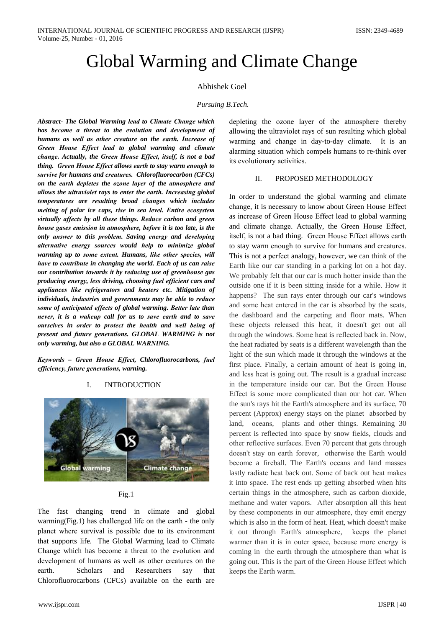# **Global Warming and Climate Change**

## **Abhishek Goel**

### Pursuing B.Tech.

Abstract- The Global Warming lead to Climate Change which has become a threat to the evolution and development of humans as well as other creature on the earth. Increase of Green House Effect lead to global warming and climate change. Actually, the Green House Effect, itself, is not a bad thing. Green House Effect allows earth to stay warm enough to survive for humans and creatures. Chlorofluorocarbon (CFCs) on the earth depletes the ozone layer of the atmosphere and allows the ultraviolet rays to enter the earth. Increasing global temperatures are resulting broad changes which includes melting of polar ice caps, rise in sea level. Entire ecosystem virtually affects by all these things. Reduce carbon and green house gases emission in atmosphere, before it is too late, is the only answer to this problem. Saving energy and developing alternative energy sources would help to minimize global warming up to some extent. Humans, like other species, will have to contribute in changing the world. Each of us can raise our contribution towards it by reducing use of greenhouse gas producing energy, less driving, choosing fuel efficient cars and appliances like refrigerators and heaters etc. Mitigation of individuals, industries and governments may be able to reduce some of anticipated effects of global warming. Better late than never, it is a wakeup call for us to save earth and to save ourselves in order to protect the health and well being of present and future generations. GLOBAL WARMING is not only warming, but also a GLOBAL WARNING.

Keywords - Green House Effect, Chlorofluorocarbons, fuel efficiency, future generations, warning.

#### $\mathbf{I}$ . **INTRODUCTION**



 $Fig.1$ 

The fast changing trend in climate and global warming  $(Fig.1)$  has challenged life on the earth - the only planet where survival is possible due to its environment that supports life. The Global Warming lead to Climate Change which has become a threat to the evolution and development of humans as well as other creatures on the and **Scholars** Researchers earth. say that Chlorofluorocarbons (CFCs) available on the earth are

depleting the ozone layer of the atmosphere thereby allowing the ultraviolet rays of sun resulting which global warming and change in day-to-day climate. It is an alarming situation which compels humans to re-think over its evolutionary activities.

#### PROPOSED METHODOLOGY  $\mathbf{H}$

In order to understand the global warming and climate change, it is necessary to know about Green House Effect as increase of Green House Effect lead to global warming and climate change. Actually, the Green House Effect, itself, is not a bad thing. Green House Effect allows earth to stay warm enough to survive for humans and creatures. This is not a perfect analogy, however, we can think of the Earth like our car standing in a parking lot on a hot day. We probably felt that our car is much hotter inside than the outside one if it is been sitting inside for a while. How it happens? The sun rays enter through our car's windows and some heat entered in the car is absorbed by the seats, the dashboard and the carpeting and floor mats. When these objects released this heat, it doesn't get out all through the windows. Some heat is reflected back in. Now, the heat radiated by seats is a different wavelength than the light of the sun which made it through the windows at the first place. Finally, a certain amount of heat is going in, and less heat is going out. The result is a gradual increase in the temperature inside our car. But the Green House Effect is some more complicated than our hot car. When the sun's rays hit the Earth's atmosphere and its surface, 70 percent (Approx) energy stays on the planet absorbed by land, oceans, plants and other things. Remaining 30 percent is reflected into space by snow fields, clouds and other reflective surfaces. Even 70 percent that gets through doesn't stay on earth forever, otherwise the Earth would become a fireball. The Earth's oceans and land masses lastly radiate heat back out. Some of back out heat makes it into space. The rest ends up getting absorbed when hits certain things in the atmosphere, such as carbon dioxide, methane and water vapors. After absorption all this heat by these components in our atmosphere, they emit energy which is also in the form of heat. Heat, which doesn't make it out through Earth's atmosphere, keeps the planet warmer than it is in outer space, because more energy is coming in the earth through the atmosphere than what is going out. This is the part of the Green House Effect which keeps the Earth warm.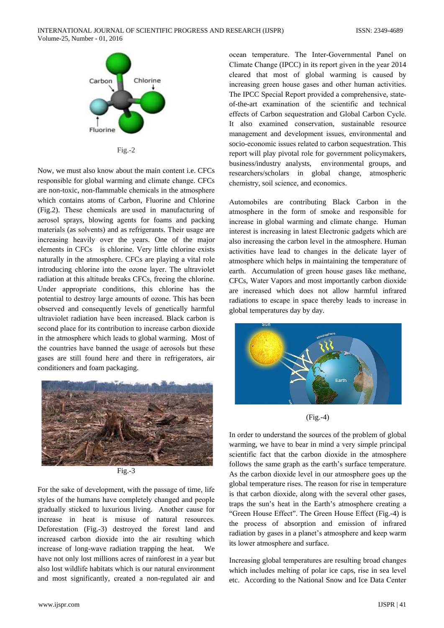

 $Fig.-2$ 

Now, we must also know about the main content i.e. CFCs responsible for global warming and climate change. CFCs are non-toxic, non-flammable chemicals in the atmosphere which contains atoms of Carbon, Fluorine and Chlorine (Fig.2). These chemicals are used in manufacturing of aerosol sprays, blowing agents for foams and packing materials (as solvents) and as refrigerants. Their usage are increasing heavily over the years. One of the major elements in CFCs is chlorine. Very little chlorine exists naturally in the atmosphere. CFCs are playing a vital role introducing chlorine into the ozone layer. The ultraviolet radiation at this altitude breaks CFCs, freeing the chlorine. Under appropriate conditions, this chlorine has the potential to destroy large amounts of ozone. This has been observed and consequently levels of genetically harmful ultraviolet radiation have been increased. Black carbon is second place for its contribution to increase carbon dioxide in the atmosphere which leads to global warming. Most of the countries have banned the usage of aerosols but these gases are still found here and there in refrigerators, air conditioners and foam packaging.



 $Fig.-3$ 

For the sake of development, with the passage of time, life styles of the humans have completely changed and people gradually sticked to luxurious living. Another cause for increase in heat is misuse of natural resources. Deforestation (Fig.-3) destroyed the forest land and increased carbon dioxide into the air resulting which increase of long-wave radiation trapping the heat. We have not only lost millions acres of rainforest in a year but also lost wildlife habitats which is our natural environment and most significantly, created a non-regulated air and

ocean temperature. The Inter-Governmental Panel on Climate Change (IPCC) in its report given in the year 2014 cleared that most of global warming is caused by increasing green house gases and other human activities. The IPCC Special Report provided a comprehensive, stateof-the-art examination of the scientific and technical effects of Carbon sequestration and Global Carbon Cycle. It also examined conservation, sustainable resource management and development issues, environmental and socio-economic issues related to carbon sequestration. This report will play pivotal role for government policymakers, business/industry analysts, environmental groups, and researchers/scholars in global change, atmospheric chemistry, soil science, and economics.

Automobiles are contributing Black Carbon in the atmosphere in the form of smoke and responsible for increase in global warming and climate change. Human interest is increasing in latest Electronic gadgets which are also increasing the carbon level in the atmosphere. Human activities have lead to changes in the delicate layer of atmosphere which helps in maintaining the temperature of earth. Accumulation of green house gases like methane, CFCs, Water Vapors and most importantly carbon dioxide are increased which does not allow harmful infrared radiations to escape in space thereby leads to increase in global temperatures day by day.



 $(Fig.-4)$ 

In order to understand the sources of the problem of global warming, we have to bear in mind a very simple principal scientific fact that the carbon dioxide in the atmosphere follows the same graph as the earth's surface temperature. As the carbon dioxide level in our atmosphere goes up the global temperature rises. The reason for rise in temperature is that carbon dioxide, along with the several other gases, traps the sun's heat in the Earth's atmosphere creating a "Green House Effect". The Green House Effect (Fig.-4) is the process of absorption and emission of infrared radiation by gases in a planet's atmosphere and keep warm its lower atmosphere and surface.

Increasing global temperatures are resulting broad changes which includes melting of polar ice caps, rise in sea level etc. According to the National Snow and Ice Data Center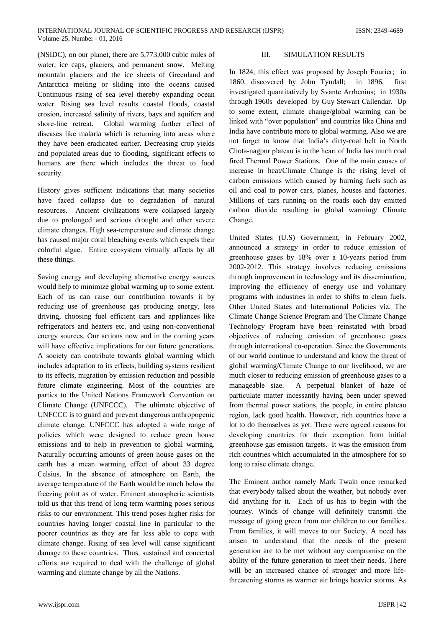(NSIDC), on our planet, there are 5,773,000 cubic miles of water, ice caps, glaciers, and permanent snow. Melting mountain glaciers and the ice sheets of Greenland and Antarctica melting or sliding into the oceans caused Continuous rising of sea level thereby expanding ocean water. Rising sea level results coastal floods, coastal erosion, increased salinity of rivers, bays and aquifers and shore-line retreat. Global warming further effect of diseases like malaria which is returning into areas where they have been eradicated earlier. Decreasing crop yields and populated areas due to flooding, significant effects to humans are there which includes the threat to food security.

History gives sufficient indications that many societies have faced collapse due to degradation of natural resources. Ancient civilizations were collapsed largely due to prolonged and serious drought and other severe climate changes. High sea-temperature and climate change has caused major coral bleaching events which expels their colorful algae. Entire ecosystem virtually affects by all these things.

Saving energy and developing alternative energy sources would help to minimize global warming up to some extent. Each of us can raise our contribution towards it by reducing use of greenhouse gas producing energy, less driving, choosing fuel efficient cars and appliances like refrigerators and heaters etc. and using non-conventional energy sources. Our actions now and in the coming years will have effective implications for our future generations. A society can contribute towards global warming which includes adaptation to its effects, building systems resilient to its effects, migration by emission reduction and possible future climate engineering. Most of the countries are parties to the United Nations Framework Convention on Climate Change (UNFCCC). The ultimate objective of UNFCCC is to guard and prevent dangerous anthropogenic climate change. UNFCCC has adopted a wide range of policies which were designed to reduce green house emissions and to help in prevention to global warming. Naturally occurring amounts of green house gases on the earth has a mean warming effect of about 33 degree Celsius. In the absence of atmosphere on Earth, the average temperature of the Earth would be much below the freezing point as of water. Eminent atmospheric scientists told us that this trend of long term warming poses serious risks to our environment. This trend poses higher risks for countries having longer coastal line in particular to the poorer countries as they are far less able to cope with climate change. Rising of sea level will cause significant damage to these countries. Thus, sustained and concerted efforts are required to deal with the challenge of global warming and climate change by all the Nations.

#### $III.$ SIMULATION RESULTS

In 1824, this effect was proposed by Joseph Fourier; in 1860, discovered by John Tyndall; in 1896, first investigated quantitatively by Svante Arrhenius; in 1930s through 1960s developed by Guy Stewart Callendar. Up to some extent, climate change/global warming can be linked with "over population" and countries like China and India have contribute more to global warming. Also we are not forget to know that India's dirty-coal belt in North Chota-nagpur plateau is in the heart of India has much coal fired Thermal Power Stations. One of the main causes of increase in heat/Climate Change is the rising level of carbon emissions which caused by burning fuels such as oil and coal to power cars, planes, houses and factories. Millions of cars running on the roads each day emitted carbon dioxide resulting in global warming/ Climate Change.

United States (U.S) Government, in February 2002, announced a strategy in order to reduce emission of greenhouse gases by 18% over a 10-years period from 2002-2012. This strategy involves reducing emissions through improvement in technology and its dissemination, improving the efficiency of energy use and voluntary programs with industries in order to shifts to clean fuels. Other United States and International Policies viz. The Climate Change Science Program and The Climate Change Technology Program have been reinstated with broad objectives of reducing emission of greenhouse gases through international co-operation. Since the Governments of our world continue to understand and know the threat of global warming/Climate Change to our livelihood, we are much closer to reducing emission of greenhouse gases to a manageable size. A perpetual blanket of haze of particulate matter incessantly having been under spewed from thermal power stations, the people, in entire plateau region, lack good health. However, rich countries have a lot to do themselves as yet. There were agreed reasons for developing countries for their exemption from initial greenhouse gas emission targets. It was the emission from rich countries which accumulated in the atmosphere for so long to raise climate change.

The Eminent author namely Mark Twain once remarked that everybody talked about the weather, but nobody ever did anything for it. Each of us has to begin with the journey. Winds of change will definitely transmit the message of going green from our children to our families. From families, it will moves to our Society. A need has arisen to understand that the needs of the present generation are to be met without any compromise on the ability of the future generation to meet their needs. There will be an increased chance of stronger and more lifethreatening storms as warmer air brings heavier storms. As